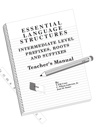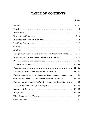# **TABLE OF CONTENTS**

### **Page**

|                                                             | iii - iv       |
|-------------------------------------------------------------|----------------|
|                                                             | 1              |
|                                                             | $\overline{2}$ |
|                                                             | $2 - 4$        |
|                                                             | 4 - 5          |
|                                                             | $5-6$          |
|                                                             | 6              |
|                                                             | 6              |
| Using Visual-Auditory-Tactile/Kinesthetic Modalities (VATK) | $6 - 7$        |
| Intermediate Prefixes, Roots and Suffixes Practices         | $7 - 9$        |
|                                                             | $9 - 10$       |
|                                                             | $10 - 11$      |
|                                                             | $11 - 12$      |
|                                                             | $12 - 13$      |
|                                                             | 13             |
| Graphic Organizers/Comprehension/Written Expression         | $13 - 14$      |
| Written Expression and The Written Expression Checklist     | 14             |
|                                                             | $15 - 16$      |
|                                                             | $16 - 17$      |
|                                                             | $17 - 18$      |
|                                                             | 18             |
|                                                             | 19             |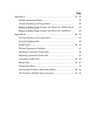## **Page**

|                                                                   | 22 |
|-------------------------------------------------------------------|----|
|                                                                   | 23 |
| <u>Return to Bitter Creek</u> Chapter One Word List (Whole Word). | 24 |
| <u>Return to Bitter Creek</u> Chapter One Word List (Syllables)   | 25 |
|                                                                   |    |
|                                                                   | 27 |
|                                                                   | 28 |
|                                                                   |    |
|                                                                   | 31 |
|                                                                   | 32 |
|                                                                   | 33 |
|                                                                   |    |
|                                                                   |    |
|                                                                   | 38 |
|                                                                   |    |
|                                                                   |    |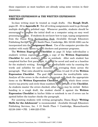these organizers as most teachers are already using some version in their classrooms.

#### **WRITTEN EXPRESSION & THE WRITTEN EXPRESSION CHECKLIST**

In-class writing must be treated as rough drafts. (See **Rough Draft**, pages 29 - 30 in **Appendix B**) Not all writing assignments need to go through multiple drafts to a polished copy. Whenever possible, students should be encouraged to ompose the initial draft on a computer using an easy word processing program. If students do not know how to type, typing assignments from the Diana King Keyboarding Book (Available through Educators Publishing Service, Inc., 31 Smith Place, Cambridge, MA 02138-1000) can be incorporated into the **Assignment Sheet**. Use of the computer provides the student with ready a cess to  $\mathcal{L}$ . Il checkers and grammar programs.

The **Written Expression** Checklist on page 31 helps individualize a student's written expression. M<sub>a</sub> a copy of the **Written Expression** Checklist for each student's folder or notebook. After each student has completed his/her first paragraph, it should be saved and used as a baseline for the student's writing. Establish the word/syllable ratio by counting the words and syllables for each sentence and averaging them across the paragraph. That ratio should be recorded a lines 14 and 15 of the **Written Expression Checklist**. The goal is to increase the word/syllable ratio. Analyze all the errors in the student's paragraph and check the appropriate items on the Written Expression Checklist. Leide which three errors receive top priority and circle those numbers and outching of the **Checklist**. As students master the errors checked, other errors may be circled. Before handing in a rough draft, the student checks it against the **Written Expression Checklist** in his/her folder or notebook to see if errors can be spotted before the teacher checks the paragraph. drafts on polished copy. Whenever possible, see<sup>7</sup> to my see the initial draft on a computer us g pro am. If students do not know how to type, to Diana King Keyboarding Book (Available the See X 31 Smith Place, Cambridge,

For assisting students with writing paragraphs, Diana King's "**Writing Skills for the Adolescent**" is recommended. (Available through Educators Publishing Services, Inc. • 31 Smith Place • Cambridge, Massachusetts 02138-1000 • PH: 1-800-225-5750)